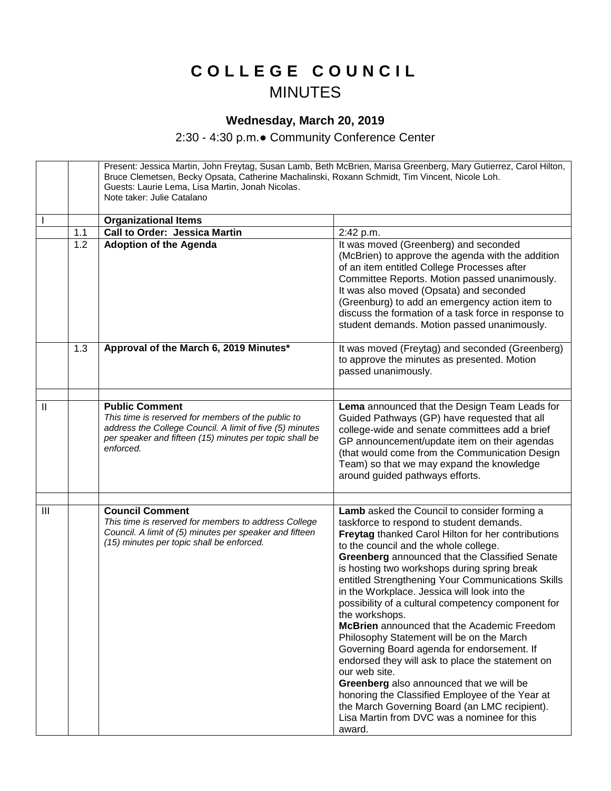## **C O L L E G E C O U N C I L** MINUTES

## **Wednesday, March 20, 2019**

2:30 - 4:30 p.m.● Community Conference Center

Present: Jessica Martin, John Freytag, Susan Lamb, Beth McBrien, Marisa Greenberg, Mary Gutierrez, Carol Hilton, Bruce Clemetsen, Becky Opsata, Catherine Machalinski, Roxann Schmidt, Tim Vincent, Nicole Loh. Guests: Laurie Lema, Lisa Martin, Jonah Nicolas. Note taker: Julie Catalano **Organizational Items** 1.1 | Call to Order: Jessica Martin | 2:42 p.m. 1.2 **Adoption of the Agenda It was moved (Greenberg) and seconded** (McBrien) to approve the agenda with the addition of an item entitled College Processes after Committee Reports. Motion passed unanimously. It was also moved (Opsata) and seconded (Greenburg) to add an emergency action item to discuss the formation of a task force in response to student demands. Motion passed unanimously. 1.3 **Approval of the March 6, 2019 Minutes\*** It was moved (Freytag) and seconded (Greenberg) to approve the minutes as presented. Motion passed unanimously. II **Public Comment** *This time is reserved for members of the public to address the College Council. A limit of five (5) minutes per speaker and fifteen (15) minutes per topic shall be enforced.*  **Lema** announced that the Design Team Leads for Guided Pathways (GP) have requested that all college-wide and senate committees add a brief GP announcement/update item on their agendas (that would come from the Communication Design Team) so that we may expand the knowledge around guided pathways efforts. III **Council Comment** *This time is reserved for members to address College Council. A limit of (5) minutes per speaker and fifteen (15) minutes per topic shall be enforced.* **Lamb** asked the Council to consider forming a taskforce to respond to student demands. **Freytag** thanked Carol Hilton for her contributions to the council and the whole college. **Greenberg** announced that the Classified Senate is hosting two workshops during spring break entitled Strengthening Your Communications Skills in the Workplace. Jessica will look into the possibility of a cultural competency component for the workshops. **McBrien** announced that the Academic Freedom Philosophy Statement will be on the March Governing Board agenda for endorsement. If endorsed they will ask to place the statement on our web site. **Greenberg** also announced that we will be honoring the Classified Employee of the Year at the March Governing Board (an LMC recipient). Lisa Martin from DVC was a nominee for this award.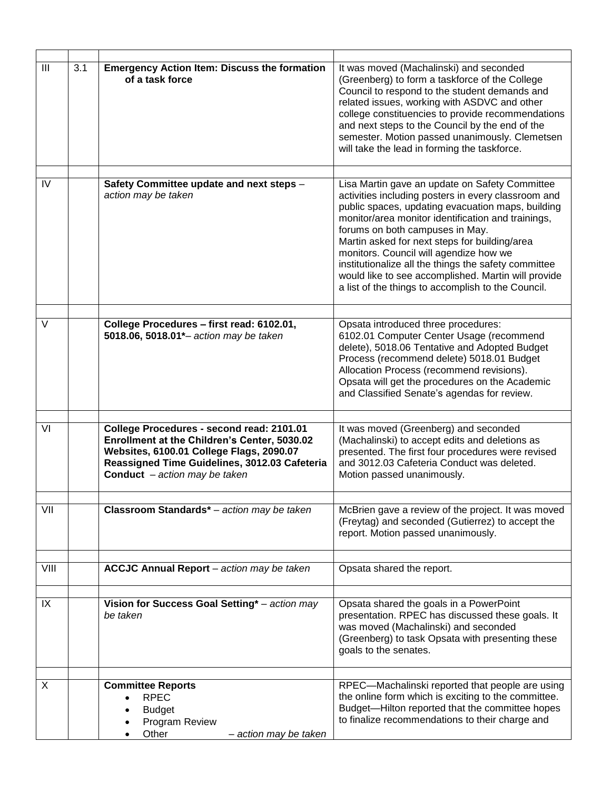| III    | 3.1 | <b>Emergency Action Item: Discuss the formation</b><br>of a task force                                                                                                                                                           | It was moved (Machalinski) and seconded<br>(Greenberg) to form a taskforce of the College<br>Council to respond to the student demands and<br>related issues, working with ASDVC and other<br>college constituencies to provide recommendations<br>and next steps to the Council by the end of the<br>semester. Motion passed unanimously. Clemetsen<br>will take the lead in forming the taskforce.                                                                                                                |
|--------|-----|----------------------------------------------------------------------------------------------------------------------------------------------------------------------------------------------------------------------------------|---------------------------------------------------------------------------------------------------------------------------------------------------------------------------------------------------------------------------------------------------------------------------------------------------------------------------------------------------------------------------------------------------------------------------------------------------------------------------------------------------------------------|
| IV     |     | Safety Committee update and next steps -<br>action may be taken                                                                                                                                                                  | Lisa Martin gave an update on Safety Committee<br>activities including posters in every classroom and<br>public spaces, updating evacuation maps, building<br>monitor/area monitor identification and trainings,<br>forums on both campuses in May.<br>Martin asked for next steps for building/area<br>monitors. Council will agendize how we<br>institutionalize all the things the safety committee<br>would like to see accomplished. Martin will provide<br>a list of the things to accomplish to the Council. |
| $\vee$ |     | College Procedures - first read: 6102.01,<br>5018.06, 5018.01*- action may be taken                                                                                                                                              | Opsata introduced three procedures:<br>6102.01 Computer Center Usage (recommend<br>delete), 5018.06 Tentative and Adopted Budget<br>Process (recommend delete) 5018.01 Budget<br>Allocation Process (recommend revisions).<br>Opsata will get the procedures on the Academic<br>and Classified Senate's agendas for review.                                                                                                                                                                                         |
| VI     |     | College Procedures - second read: 2101.01<br>Enrollment at the Children's Center, 5030.02<br>Websites, 6100.01 College Flags, 2090.07<br>Reassigned Time Guidelines, 3012.03 Cafeteria<br><b>Conduct</b> $-$ action may be taken | It was moved (Greenberg) and seconded<br>(Machalinski) to accept edits and deletions as<br>presented. The first four procedures were revised<br>and 3012.03 Cafeteria Conduct was deleted.<br>Motion passed unanimously.                                                                                                                                                                                                                                                                                            |
| VII    |     | Classroom Standards* - action may be taken                                                                                                                                                                                       | McBrien gave a review of the project. It was moved<br>(Freytag) and seconded (Gutierrez) to accept the<br>report. Motion passed unanimously.                                                                                                                                                                                                                                                                                                                                                                        |
| VIII   |     | <b>ACCJC Annual Report</b> - action may be taken                                                                                                                                                                                 | Opsata shared the report.                                                                                                                                                                                                                                                                                                                                                                                                                                                                                           |
| IX     |     | Vision for Success Goal Setting* - action may<br>be taken                                                                                                                                                                        | Opsata shared the goals in a PowerPoint<br>presentation. RPEC has discussed these goals. It<br>was moved (Machalinski) and seconded<br>(Greenberg) to task Opsata with presenting these<br>goals to the senates.                                                                                                                                                                                                                                                                                                    |
| X      |     | <b>Committee Reports</b><br><b>RPEC</b><br><b>Budget</b><br>Program Review<br>Other<br>– action may be taken                                                                                                                     | RPEC-Machalinski reported that people are using<br>the online form which is exciting to the committee.<br>Budget-Hilton reported that the committee hopes<br>to finalize recommendations to their charge and                                                                                                                                                                                                                                                                                                        |